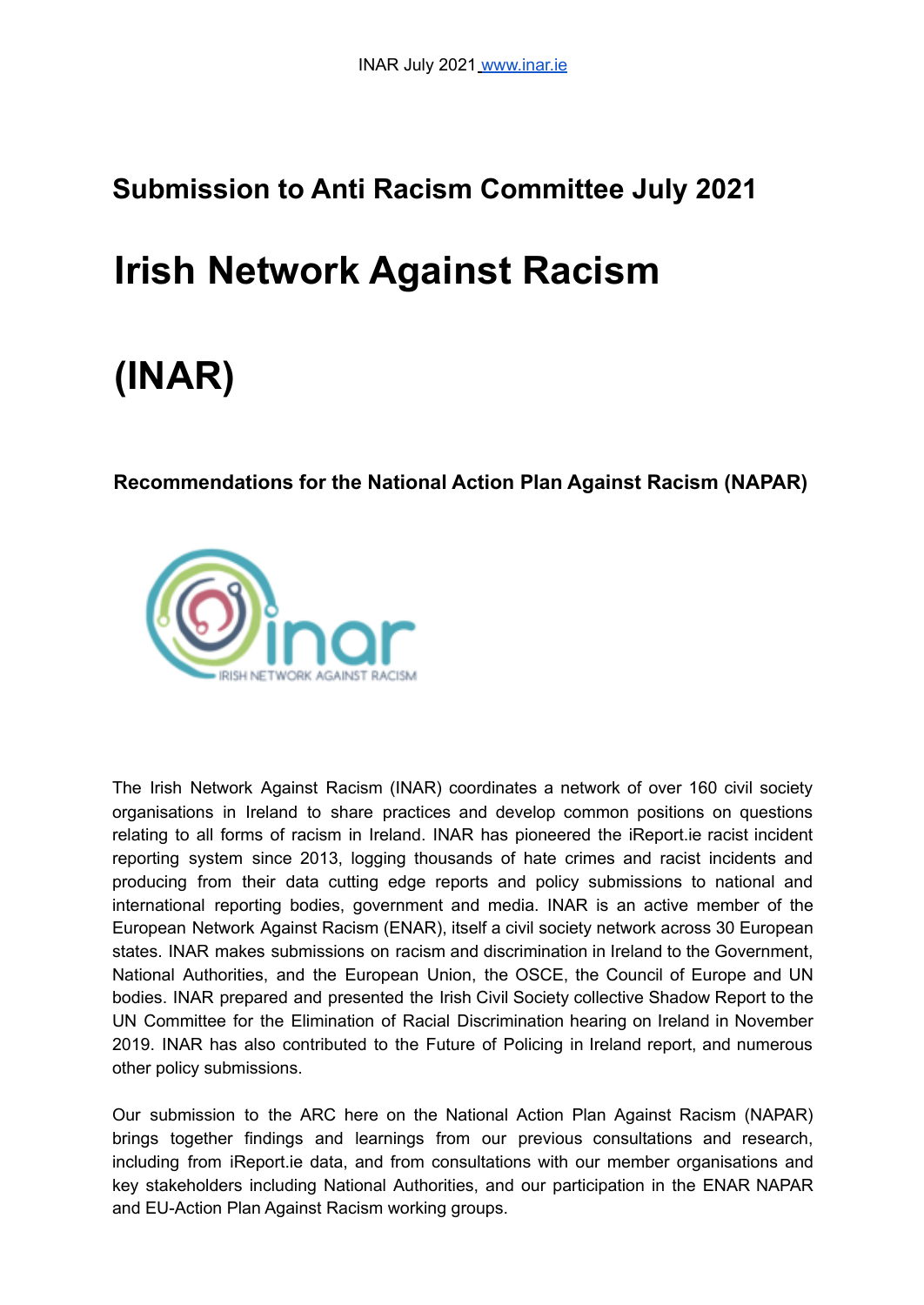# **Submission to Anti Racism Committee July 2021**

# **Irish Network Against Racism**

# **(INAR)**

**Recommendations for the National Action Plan Against Racism (NAPAR)**



The Irish Network Against Racism (INAR) coordinates a network of over 160 civil society organisations in Ireland to share practices and develop common positions on questions relating to all forms of racism in Ireland. INAR has pioneered the iReport.ie racist incident reporting system since 2013, logging thousands of hate crimes and racist incidents and producing from their data cutting edge reports and policy submissions to national and international reporting bodies, government and media. INAR is an active member of the European Network Against Racism (ENAR), itself a civil society network across 30 European states. INAR makes submissions on racism and discrimination in Ireland to the Government, National Authorities, and the European Union, the OSCE, the Council of Europe and UN bodies. INAR prepared and presented the Irish Civil Society collective Shadow Report to the UN Committee for the Elimination of Racial Discrimination hearing on Ireland in November 2019. INAR has also contributed to the Future of Policing in Ireland report, and numerous other policy submissions.

Our submission to the ARC here on the National Action Plan Against Racism (NAPAR) brings together findings and learnings from our previous consultations and research, including from iReport.ie data, and from consultations with our member organisations and key stakeholders including National Authorities, and our participation in the ENAR NAPAR and EU-Action Plan Against Racism working groups.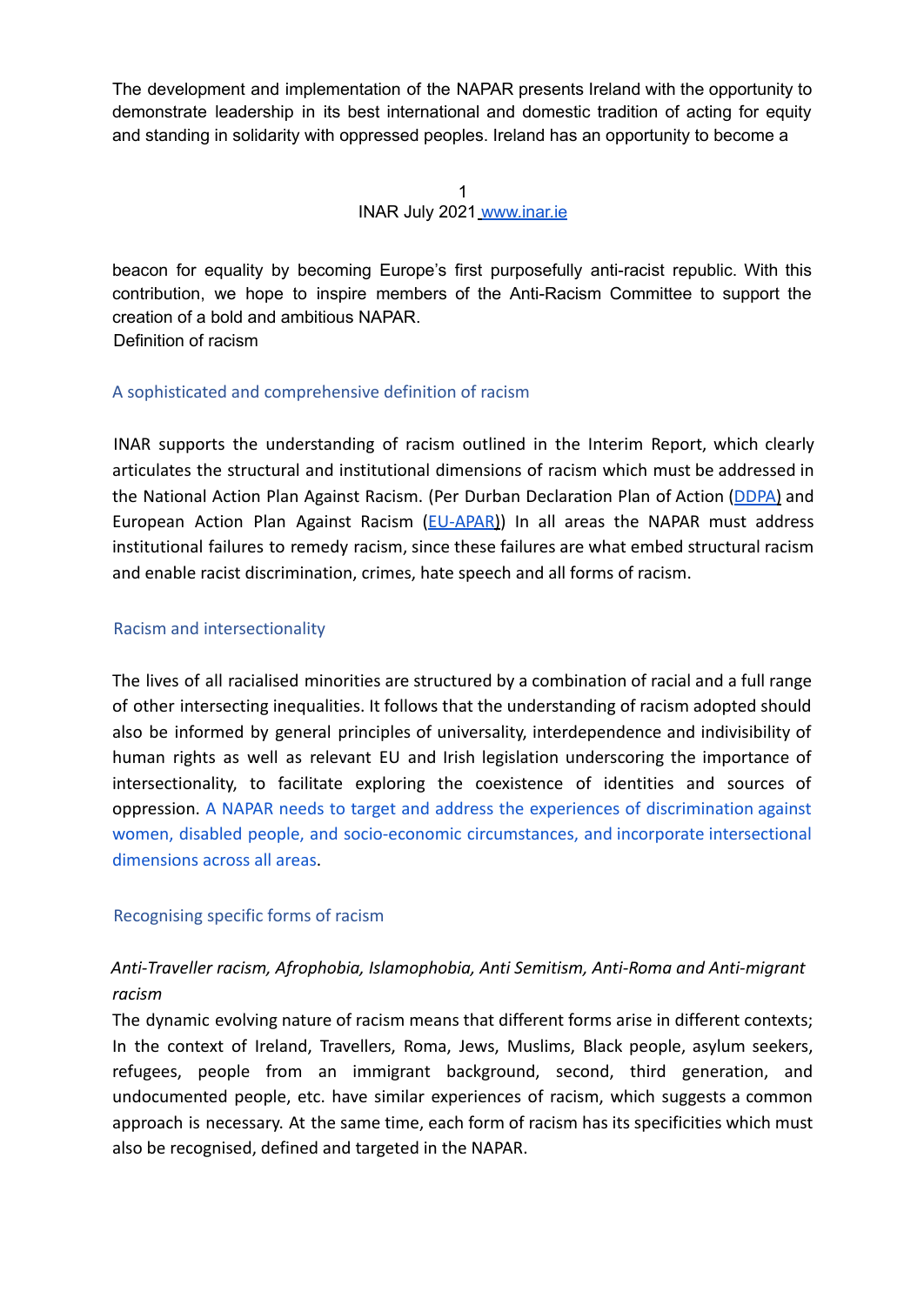The development and implementation of the NAPAR presents Ireland with the opportunity to demonstrate leadership in its best international and domestic tradition of acting for equity and standing in solidarity with oppressed peoples. Ireland has an opportunity to become a

> 1 INAR July 2021 www.inar.ie

beacon for equality by becoming Europe's first purposefully anti-racist republic. With this contribution, we hope to inspire members of the Anti-Racism Committee to support the creation of a bold and ambitious NAPAR.

Definition of racism

#### A sophisticated and comprehensive definition of racism

INAR supports the understanding of racism outlined in the Interim Report, which clearly articulates the structural and institutional dimensions of racism which must be addressed in the National Action Plan Against Racism. (Per Durban Declaration Plan of Action (DDPA) and European Action Plan Against Racism (EU-APAR)) In all areas the NAPAR must address institutional failures to remedy racism, since these failures are what embed structural racism and enable racist discrimination, crimes, hate speech and all forms of racism.

#### Racism and intersectionality

The lives of all racialised minorities are structured by a combination of racial and a full range of other intersecting inequalities. It follows that the understanding of racism adopted should also be informed by general principles of universality, interdependence and indivisibility of human rights as well as relevant EU and Irish legislation underscoring the importance of intersectionality, to facilitate exploring the coexistence of identities and sources of oppression. A NAPAR needs to target and address the experiences of discrimination against women, disabled people, and socio-economic circumstances, and incorporate intersectional dimensions across all areas.

#### Recognising specific forms of racism

# *Anti-Traveller racism, Afrophobia, Islamophobia, Anti Semitism, Anti-Roma and Anti-migrant racism*

The dynamic evolving nature of racism means that different forms arise in different contexts; In the context of Ireland, Travellers, Roma, Jews, Muslims, Black people, asylum seekers, refugees, people from an immigrant background, second, third generation, and undocumented people, etc. have similar experiences of racism, which suggests a common approach is necessary. At the same time, each form of racism has its specificities which must also be recognised, defined and targeted in the NAPAR.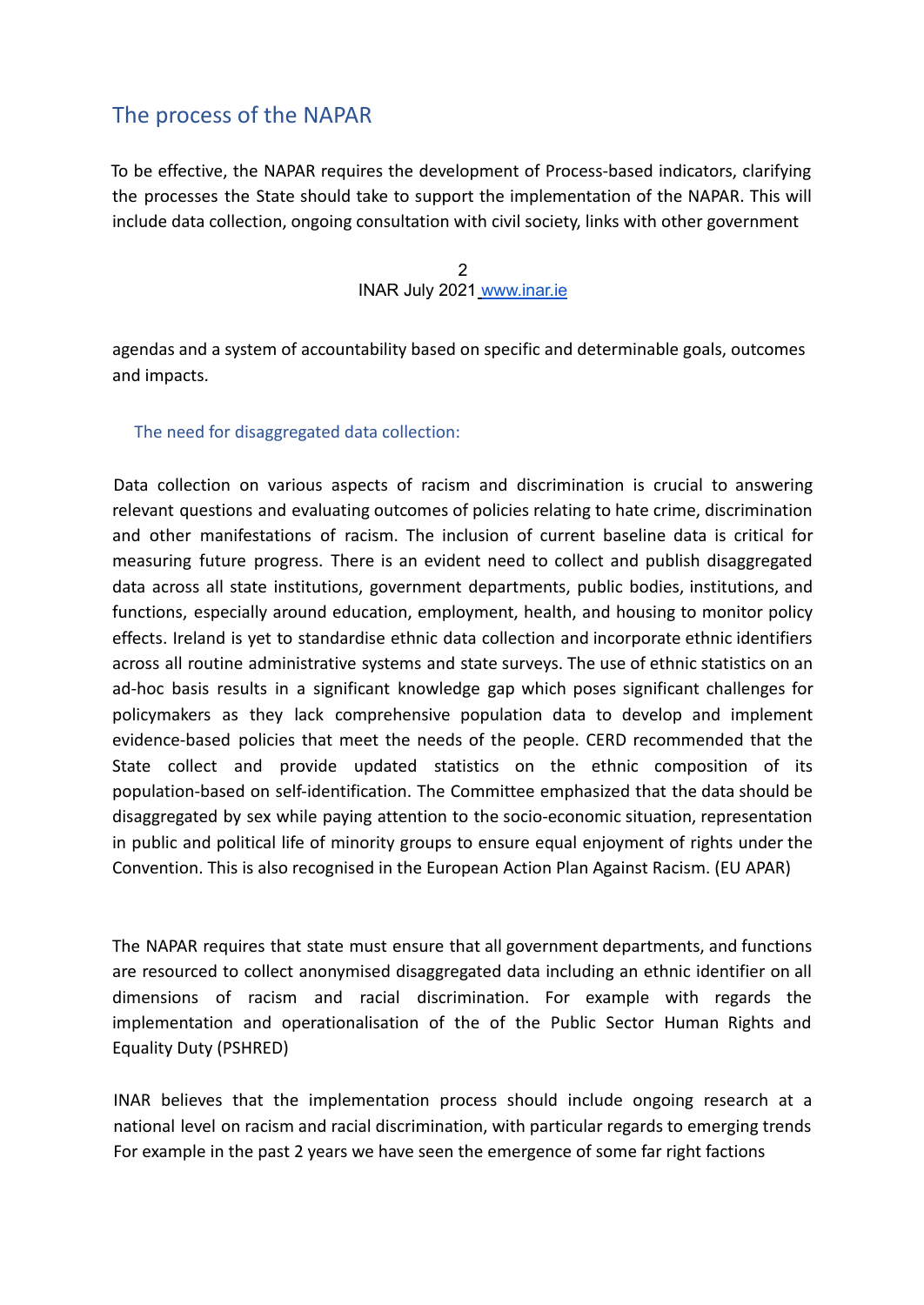# The process of the NAPAR

To be effective, the NAPAR requires the development of Process-based indicators, clarifying the processes the State should take to support the implementation of the NAPAR. This will include data collection, ongoing consultation with civil society, links with other government

> 2 INAR July 2021 www.inar.ie

agendas and a system of accountability based on specific and determinable goals, outcomes and impacts.

#### The need for disaggregated data collection:

Data collection on various aspects of racism and discrimination is crucial to answering relevant questions and evaluating outcomes of policies relating to hate crime, discrimination and other manifestations of racism. The inclusion of current baseline data is critical for measuring future progress. There is an evident need to collect and publish disaggregated data across all state institutions, government departments, public bodies, institutions, and functions, especially around education, employment, health, and housing to monitor policy effects. Ireland is yet to standardise ethnic data collection and incorporate ethnic identifiers across all routine administrative systems and state surveys. The use of ethnic statistics on an ad-hoc basis results in a significant knowledge gap which poses significant challenges for policymakers as they lack comprehensive population data to develop and implement evidence-based policies that meet the needs of the people. CERD recommended that the State collect and provide updated statistics on the ethnic composition of its population-based on self-identification. The Committee emphasized that the data should be disaggregated by sex while paying attention to the socio-economic situation, representation in public and political life of minority groups to ensure equal enjoyment of rights under the Convention. This is also recognised in the European Action Plan Against Racism. (EU APAR)

The NAPAR requires that state must ensure that all government departments, and functions are resourced to collect anonymised disaggregated data including an ethnic identifier on all dimensions of racism and racial discrimination. For example with regards the implementation and operationalisation of the of the Public Sector Human Rights and Equality Duty (PSHRED)

INAR believes that the implementation process should include ongoing research at a national level on racism and racial discrimination, with particular regards to emerging trends For example in the past 2 years we have seen the emergence of some far right factions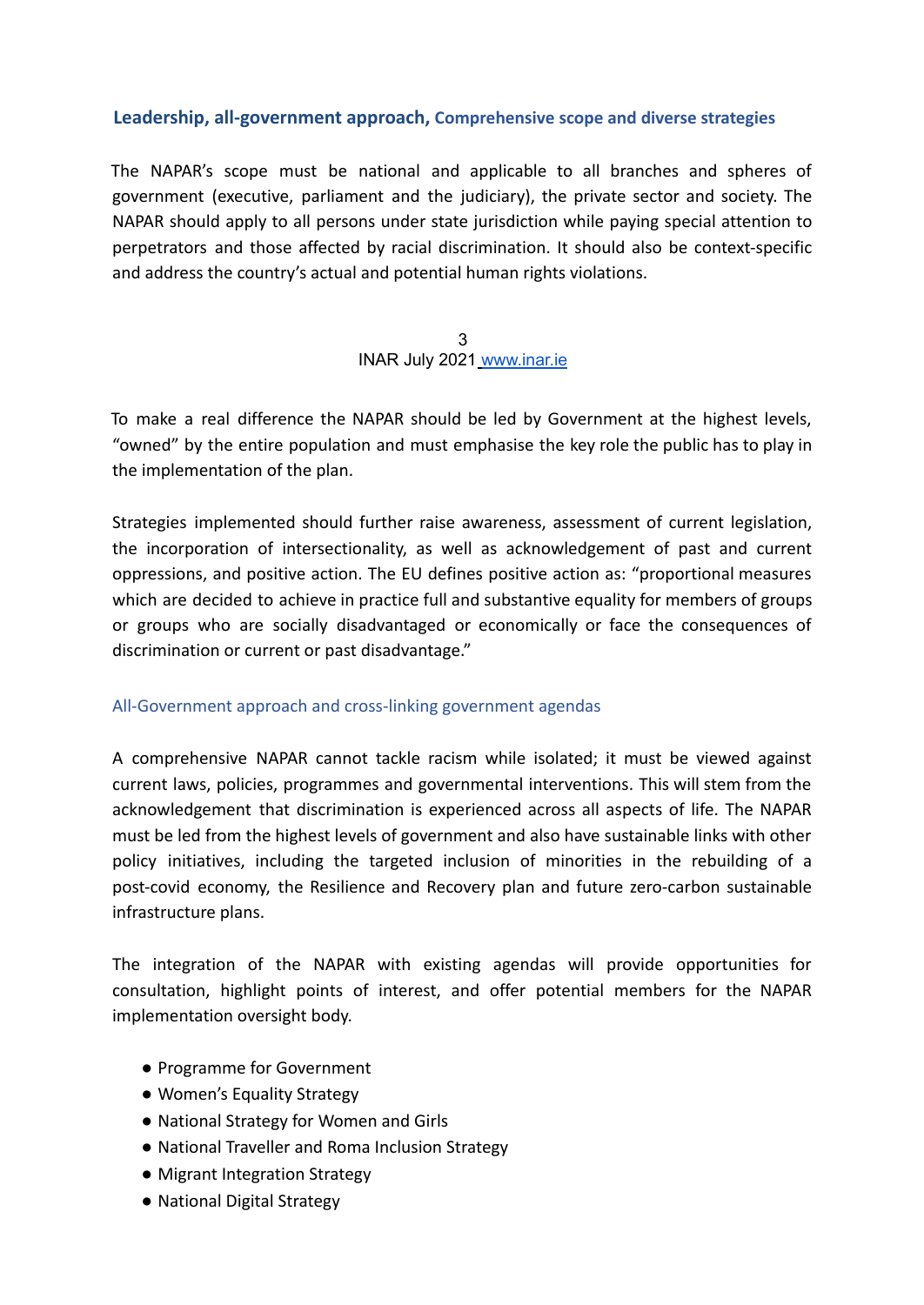#### **Leadership, all-government approach, Comprehensive scope and diverse strategies**

The NAPAR's scope must be national and applicable to all branches and spheres of government (executive, parliament and the judiciary), the private sector and society. The NAPAR should apply to all persons under state jurisdiction while paying special attention to perpetrators and those affected by racial discrimination. It should also be context-specific and address the country's actual and potential human rights violations.

> 3 INAR July 2021 www.inar.ie

To make a real difference the NAPAR should be led by Government at the highest levels, "owned" by the entire population and must emphasise the key role the public has to play in the implementation of the plan.

Strategies implemented should further raise awareness, assessment of current legislation, the incorporation of intersectionality, as well as acknowledgement of past and current oppressions, and positive action. The EU defines positive action as: "proportional measures which are decided to achieve in practice full and substantive equality for members of groups or groups who are socially disadvantaged or economically or face the consequences of discrimination or current or past disadvantage."

#### All-Government approach and cross-linking government agendas

A comprehensive NAPAR cannot tackle racism while isolated; it must be viewed against current laws, policies, programmes and governmental interventions. This will stem from the acknowledgement that discrimination is experienced across all aspects of life. The NAPAR must be led from the highest levels of government and also have sustainable links with other policy initiatives, including the targeted inclusion of minorities in the rebuilding of a post-covid economy, the Resilience and Recovery plan and future zero-carbon sustainable infrastructure plans.

The integration of the NAPAR with existing agendas will provide opportunities for consultation, highlight points of interest, and offer potential members for the NAPAR implementation oversight body.

- Programme for Government
- Women's Equality Strategy
- National Strategy for Women and Girls
- National Traveller and Roma Inclusion Strategy
- Migrant Integration Strategy
- National Digital Strategy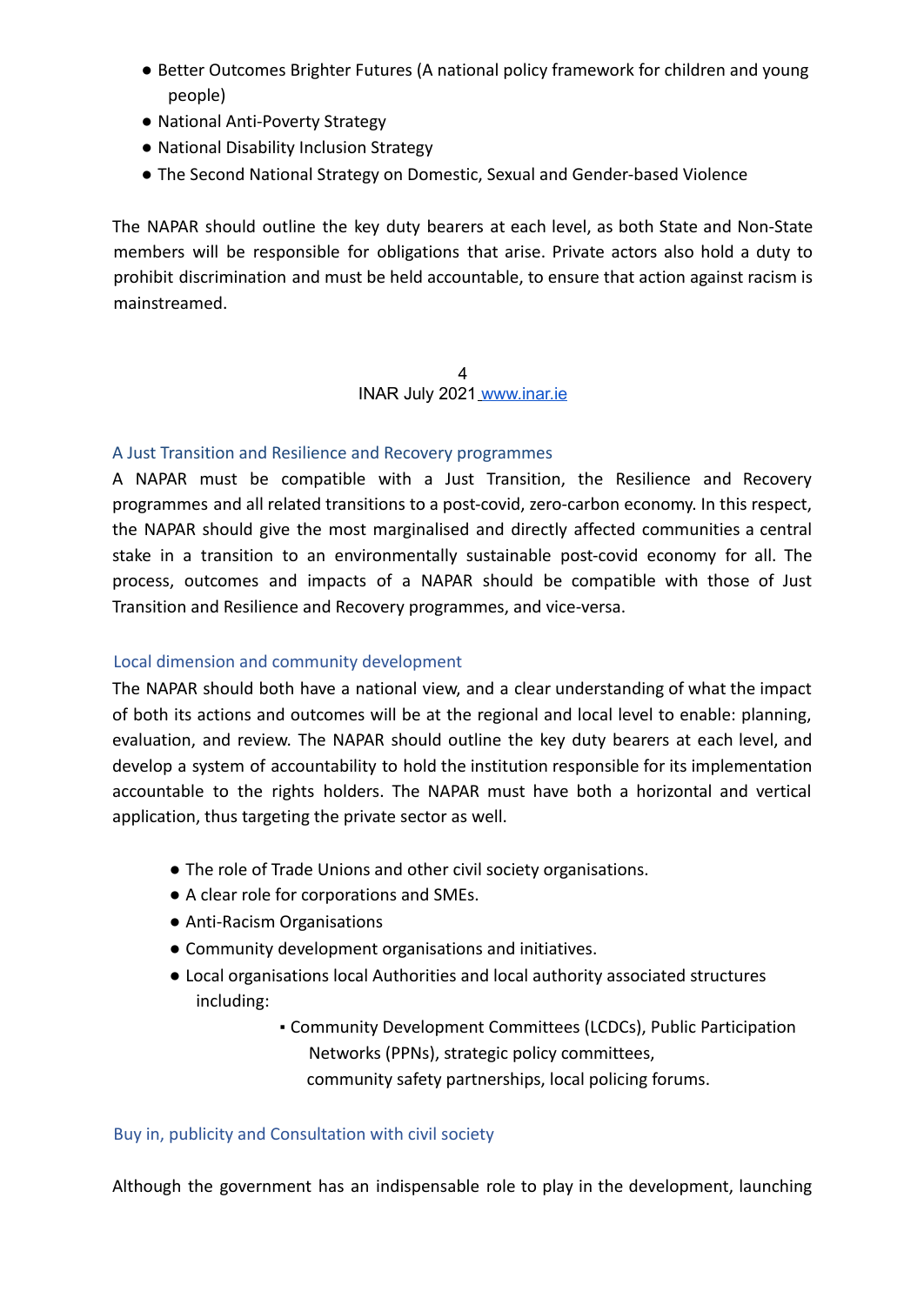- Better Outcomes Brighter Futures (A national policy framework for children and young people)
- National Anti-Poverty Strategy
- National Disability Inclusion Strategy
- The Second National Strategy on Domestic, Sexual and Gender-based Violence

The NAPAR should outline the key duty bearers at each level, as both State and Non-State members will be responsible for obligations that arise. Private actors also hold a duty to prohibit discrimination and must be held accountable, to ensure that action against racism is mainstreamed.

> 4 INAR July 2021 www.inar.ie

#### A Just Transition and Resilience and Recovery programmes

A NAPAR must be compatible with a Just Transition, the Resilience and Recovery programmes and all related transitions to a post-covid, zero-carbon economy. In this respect, the NAPAR should give the most marginalised and directly affected communities a central stake in a transition to an environmentally sustainable post-covid economy for all. The process, outcomes and impacts of a NAPAR should be compatible with those of Just Transition and Resilience and Recovery programmes, and vice-versa.

#### Local dimension and community development

The NAPAR should both have a national view, and a clear understanding of what the impact of both its actions and outcomes will be at the regional and local level to enable: planning, evaluation, and review. The NAPAR should outline the key duty bearers at each level, and develop a system of accountability to hold the institution responsible for its implementation accountable to the rights holders. The NAPAR must have both a horizontal and vertical application, thus targeting the private sector as well.

- The role of Trade Unions and other civil society organisations.
- A clear role for corporations and SMEs.
- Anti-Racism Organisations
- Community development organisations and initiatives.
- Local organisations local Authorities and local authority associated structures including:
	- Community Development Committees (LCDCs), Public Participation Networks (PPNs), strategic policy committees,
		- community safety partnerships, local policing forums.

Buy in, publicity and Consultation with civil society

Although the government has an indispensable role to play in the development, launching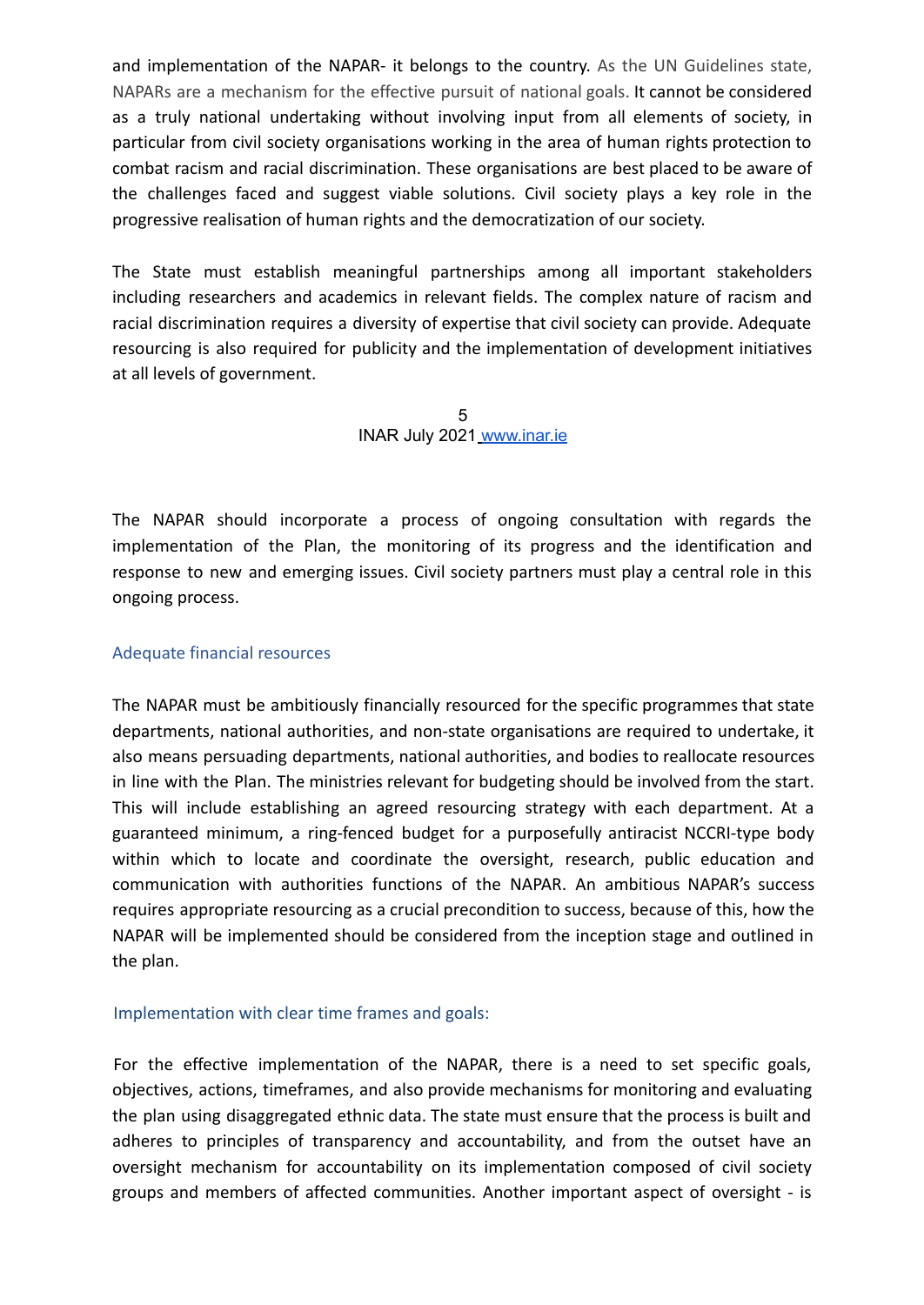and implementation of the NAPAR- it belongs to the country. As the UN Guidelines state, NAPARs are a mechanism for the effective pursuit of national goals. It cannot be considered as a truly national undertaking without involving input from all elements of society, in particular from civil society organisations working in the area of human rights protection to combat racism and racial discrimination. These organisations are best placed to be aware of the challenges faced and suggest viable solutions. Civil society plays a key role in the progressive realisation of human rights and the democratization of our society.

The State must establish meaningful partnerships among all important stakeholders including researchers and academics in relevant fields. The complex nature of racism and racial discrimination requires a diversity of expertise that civil society can provide. Adequate resourcing is also required for publicity and the implementation of development initiatives at all levels of government.

> 5 INAR July 2021 www.inar.ie

The NAPAR should incorporate a process of ongoing consultation with regards the implementation of the Plan, the monitoring of its progress and the identification and response to new and emerging issues. Civil society partners must play a central role in this ongoing process.

# Adequate financial resources

The NAPAR must be ambitiously financially resourced for the specific programmes that state departments, national authorities, and non-state organisations are required to undertake, it also means persuading departments, national authorities, and bodies to reallocate resources in line with the Plan. The ministries relevant for budgeting should be involved from the start. This will include establishing an agreed resourcing strategy with each department. At a guaranteed minimum, a ring-fenced budget for a purposefully antiracist NCCRI-type body within which to locate and coordinate the oversight, research, public education and communication with authorities functions of the NAPAR. An ambitious NAPAR's success requires appropriate resourcing as a crucial precondition to success, because of this, how the NAPAR will be implemented should be considered from the inception stage and outlined in the plan.

#### Implementation with clear time frames and goals:

For the effective implementation of the NAPAR, there is a need to set specific goals, objectives, actions, timeframes, and also provide mechanisms for monitoring and evaluating the plan using disaggregated ethnic data. The state must ensure that the process is built and adheres to principles of transparency and accountability, and from the outset have an oversight mechanism for accountability on its implementation composed of civil society groups and members of affected communities. Another important aspect of oversight - is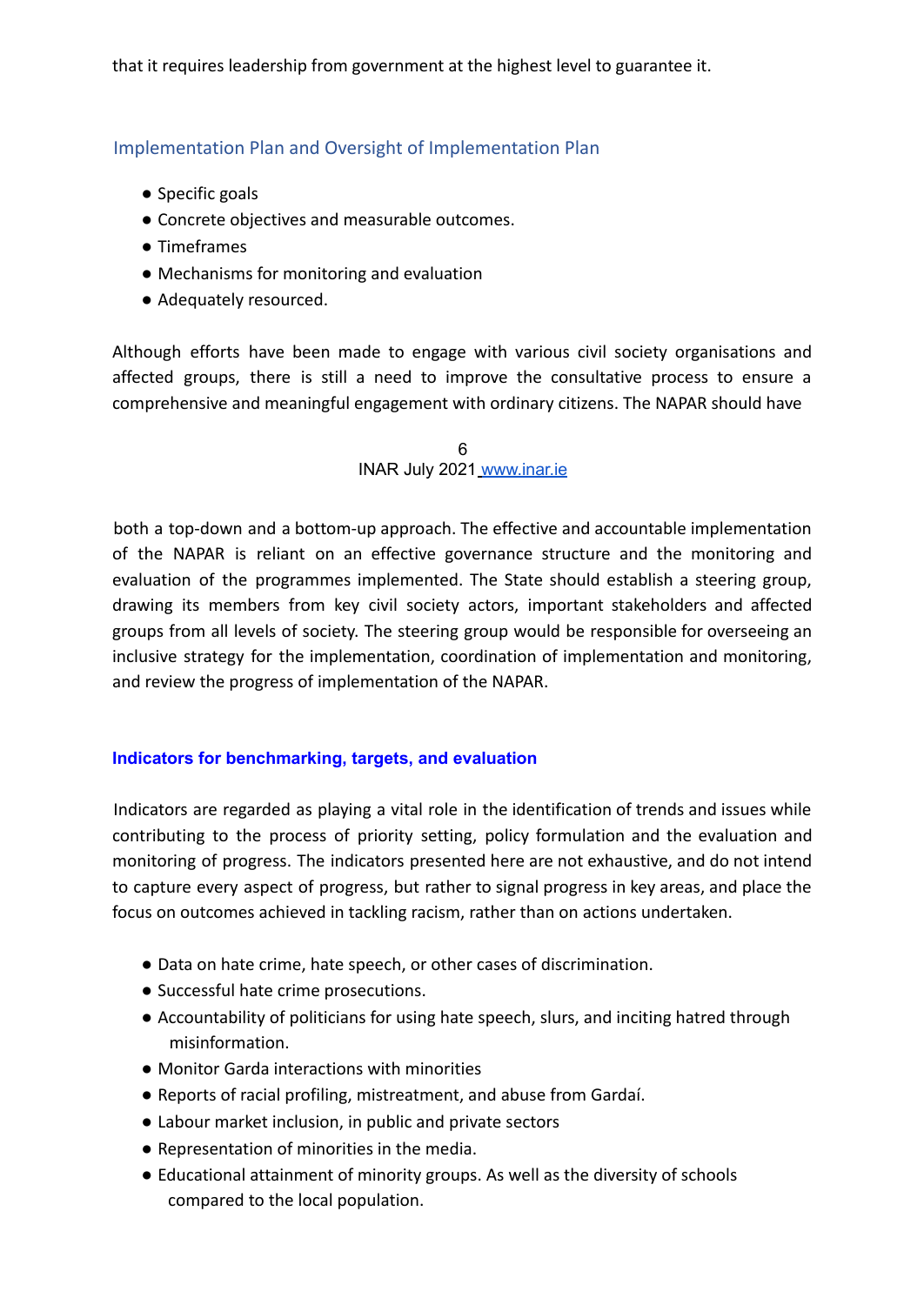that it requires leadership from government at the highest level to guarantee it.

# Implementation Plan and Oversight of Implementation Plan

- Specific goals
- Concrete objectives and measurable outcomes.
- Timeframes
- Mechanisms for monitoring and evaluation
- Adequately resourced.

Although efforts have been made to engage with various civil society organisations and affected groups, there is still a need to improve the consultative process to ensure a comprehensive and meaningful engagement with ordinary citizens. The NAPAR should have

> 6 INAR July 2021 www.inar.ie

both a top-down and a bottom-up approach. The effective and accountable implementation of the NAPAR is reliant on an effective governance structure and the monitoring and evaluation of the programmes implemented. The State should establish a steering group, drawing its members from key civil society actors, important stakeholders and affected groups from all levels of society. The steering group would be responsible for overseeing an inclusive strategy for the implementation, coordination of implementation and monitoring, and review the progress of implementation of the NAPAR.

# **Indicators for benchmarking, targets, and evaluation**

Indicators are regarded as playing a vital role in the identification of trends and issues while contributing to the process of priority setting, policy formulation and the evaluation and monitoring of progress. The indicators presented here are not exhaustive, and do not intend to capture every aspect of progress, but rather to signal progress in key areas, and place the focus on outcomes achieved in tackling racism, rather than on actions undertaken.

- Data on hate crime, hate speech, or other cases of discrimination.
- Successful hate crime prosecutions.
- Accountability of politicians for using hate speech, slurs, and inciting hatred through misinformation.
- Monitor Garda interactions with minorities
- Reports of racial profiling, mistreatment, and abuse from Gardaí.
- Labour market inclusion, in public and private sectors
- Representation of minorities in the media.
- Educational attainment of minority groups. As well as the diversity of schools compared to the local population.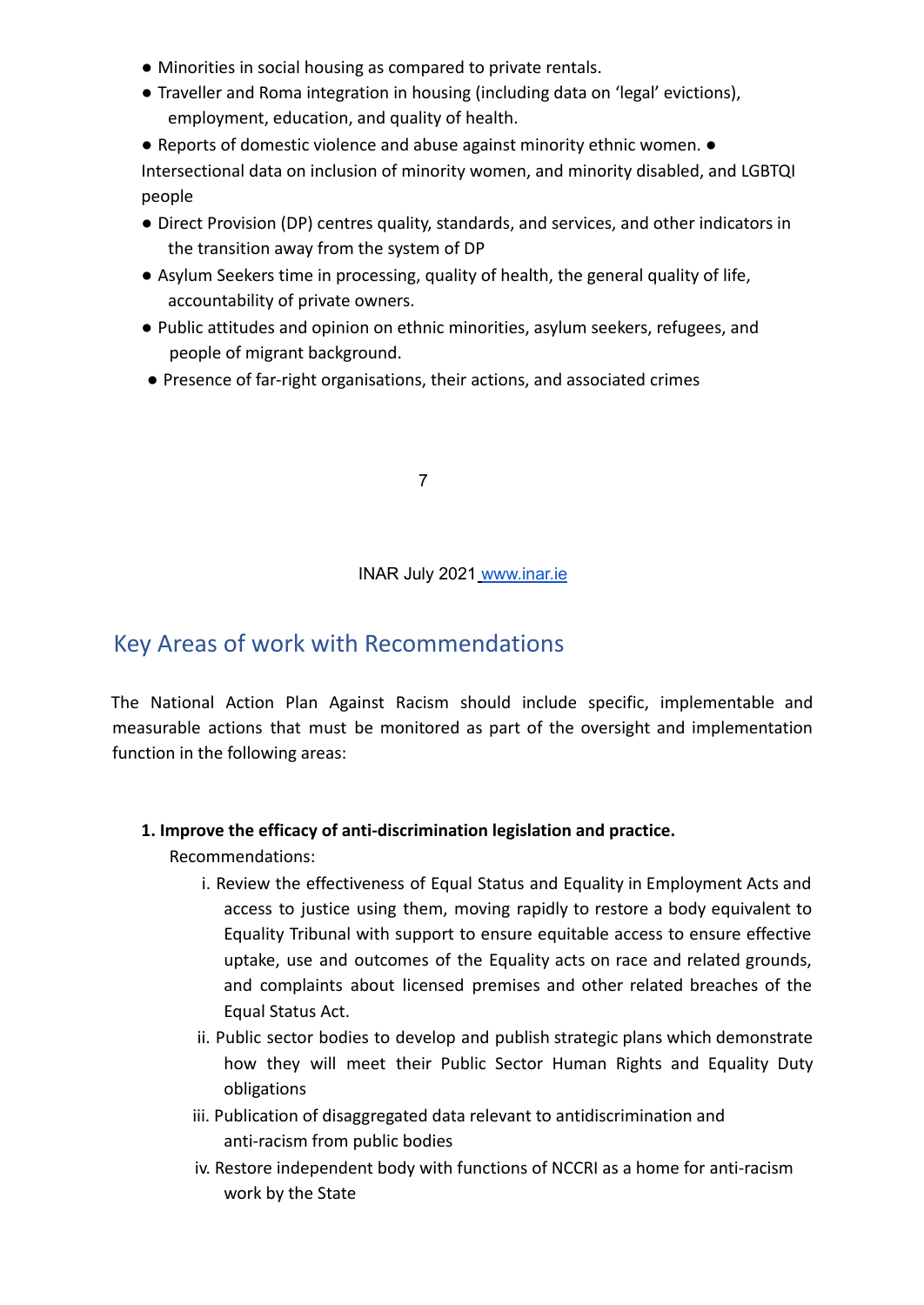- Minorities in social housing as compared to private rentals.
- Traveller and Roma integration in housing (including data on 'legal' evictions), employment, education, and quality of health.

● Reports of domestic violence and abuse against minority ethnic women. ● Intersectional data on inclusion of minority women, and minority disabled, and LGBTQI people

- Direct Provision (DP) centres quality, standards, and services, and other indicators in the transition away from the system of DP
- Asylum Seekers time in processing, quality of health, the general quality of life, accountability of private owners.
- Public attitudes and opinion on ethnic minorities, asylum seekers, refugees, and people of migrant background.
- Presence of far-right organisations, their actions, and associated crimes

7

INAR July 2021 www.inar.ie

# Key Areas of work with Recommendations

The National Action Plan Against Racism should include specific, implementable and measurable actions that must be monitored as part of the oversight and implementation function in the following areas:

# **1. Improve the efficacy of anti-discrimination legislation and practice.**

- i. Review the effectiveness of Equal Status and Equality in Employment Acts and access to justice using them, moving rapidly to restore a body equivalent to Equality Tribunal with support to ensure equitable access to ensure effective uptake, use and outcomes of the Equality acts on race and related grounds, and complaints about licensed premises and other related breaches of the Equal Status Act.
- ii. Public sector bodies to develop and publish strategic plans which demonstrate how they will meet their Public Sector Human Rights and Equality Duty obligations
- iii. Publication of disaggregated data relevant to antidiscrimination and anti-racism from public bodies
- iv. Restore independent body with functions of NCCRI as a home for anti-racism work by the State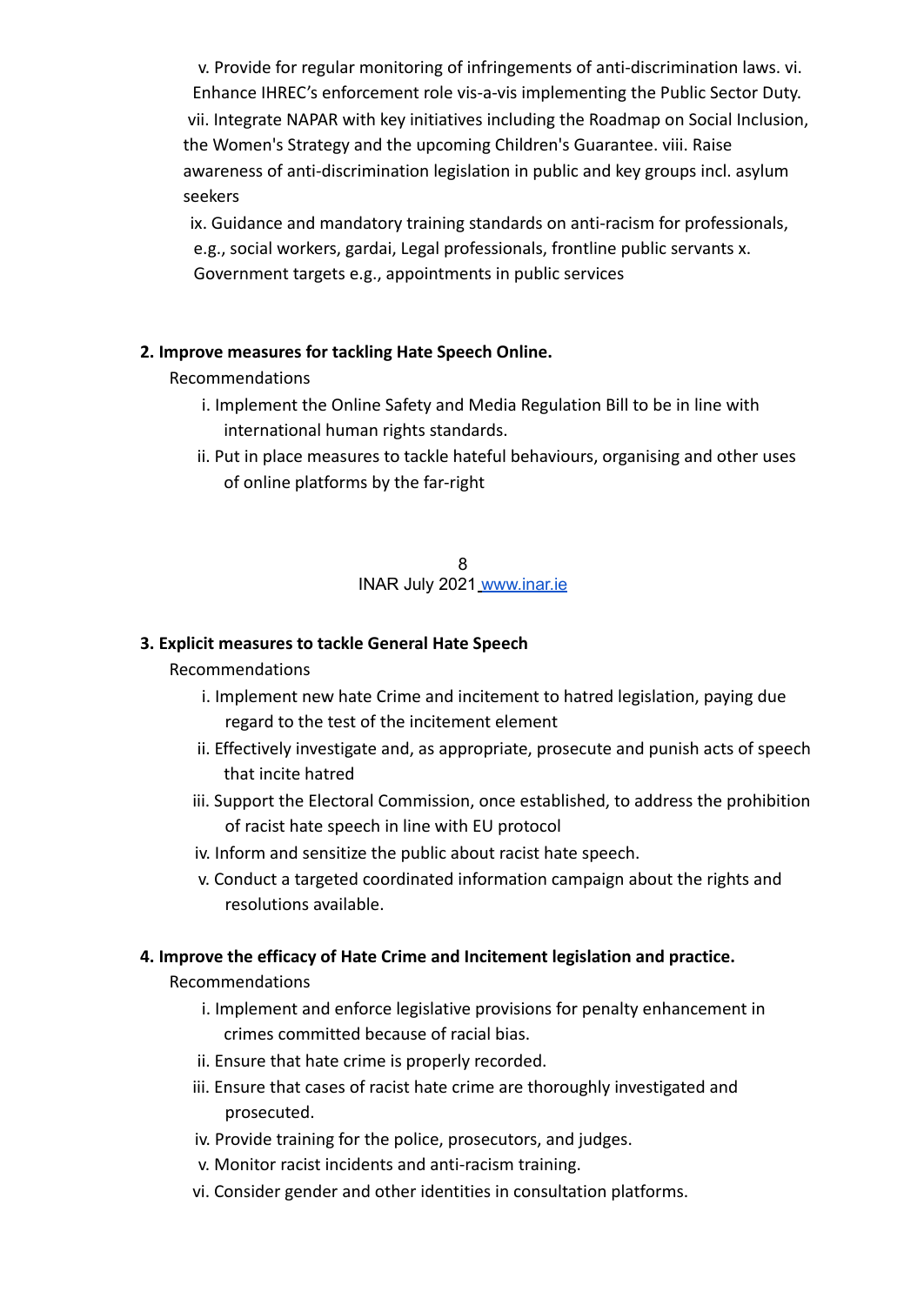v. Provide for regular monitoring of infringements of anti-discrimination laws. vi. Enhance IHREC's enforcement role vis-a-vis implementing the Public Sector Duty. vii. Integrate NAPAR with key initiatives including the Roadmap on Social Inclusion, the Women's Strategy and the upcoming Children's Guarantee. viii. Raise awareness of anti-discrimination legislation in public and key groups incl. asylum seekers

ix. Guidance and mandatory training standards on anti-racism for professionals, e.g., social workers, gardai, Legal professionals, frontline public servants x. Government targets e.g., appointments in public services

#### **2. Improve measures for tackling Hate Speech Online.**

# Recommendations

- i. Implement the Online Safety and Media Regulation Bill to be in line with international human rights standards.
- ii. Put in place measures to tackle hateful behaviours, organising and other uses of online platforms by the far-right

8 INAR July 2021 www.inar.ie

#### **3. Explicit measures to tackle General Hate Speech**

Recommendations

- i. Implement new hate Crime and incitement to hatred legislation, paying due regard to the test of the incitement element
- ii. Effectively investigate and, as appropriate, prosecute and punish acts of speech that incite hatred
- iii. Support the Electoral Commission, once established, to address the prohibition of racist hate speech in line with EU protocol
- iv. Inform and sensitize the public about racist hate speech.
- v. Conduct a targeted coordinated information campaign about the rights and resolutions available.

#### **4. Improve the efficacy of Hate Crime and Incitement legislation and practice.**

- i. Implement and enforce legislative provisions for penalty enhancement in crimes committed because of racial bias.
- ii. Ensure that hate crime is properly recorded.
- iii. Ensure that cases of racist hate crime are thoroughly investigated and prosecuted.
- iv. Provide training for the police, prosecutors, and judges.
- v. Monitor racist incidents and anti-racism training.
- vi. Consider gender and other identities in consultation platforms.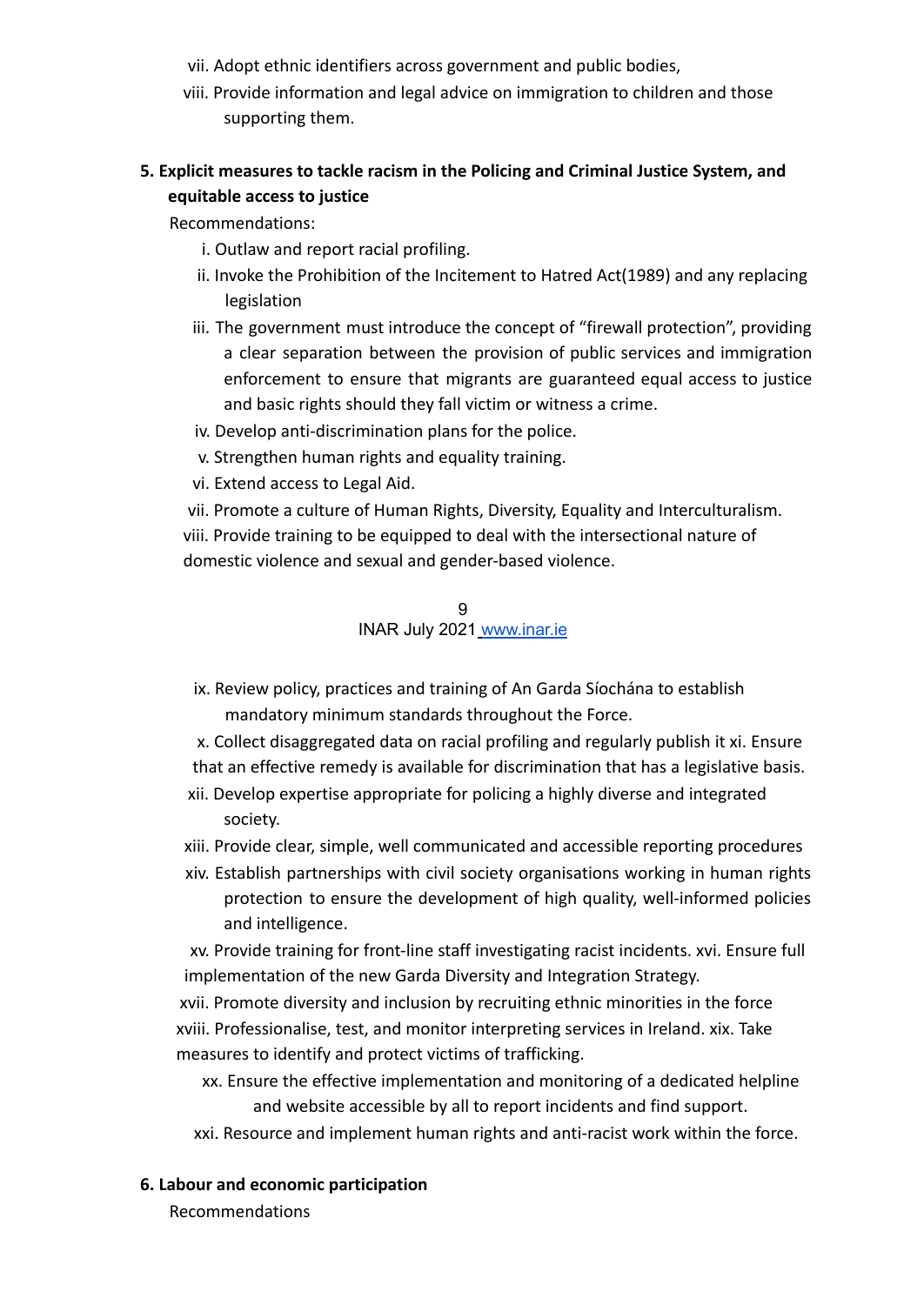- vii. Adopt ethnic identifiers across government and public bodies,
- viii. Provide information and legal advice on immigration to children and those supporting them.

# **5. Explicit measures to tackle racism in the Policing and Criminal Justice System, and equitable access to justice**

Recommendations:

- i. Outlaw and report racial profiling.
- ii. Invoke the Prohibition of the Incitement to Hatred Act(1989) and any replacing legislation
- iii. The government must introduce the concept of "firewall protection", providing a clear separation between the provision of public services and immigration enforcement to ensure that migrants are guaranteed equal access to justice and basic rights should they fall victim or witness a crime.
- iv. Develop anti-discrimination plans for the police.
- v. Strengthen human rights and equality training.
- vi. Extend access to Legal Aid.

vii. Promote a culture of Human Rights, Diversity, Equality and Interculturalism. viii. Provide training to be equipped to deal with the intersectional nature of domestic violence and sexual and gender-based violence.

#### 9 INAR July 2021 www.inar.ie

- ix. Review policy, practices and training of An Garda Síochána to establish mandatory minimum standards throughout the Force.
- x. Collect disaggregated data on racial profiling and regularly publish it xi. Ensure that an effective remedy is available for discrimination that has a legislative basis.
- xii. Develop expertise appropriate for policing a highly diverse and integrated society.
- xiii. Provide clear, simple, well communicated and accessible reporting procedures
- xiv. Establish partnerships with civil society organisations working in human rights protection to ensure the development of high quality, well-informed policies and intelligence.

xv. Provide training for front-line staff investigating racist incidents. xvi. Ensure full implementation of the new Garda Diversity and Integration Strategy.

xvii. Promote diversity and inclusion by recruiting ethnic minorities in the force xviii. Professionalise, test, and monitor interpreting services in Ireland. xix. Take measures to identify and protect victims of trafficking.

- xx. Ensure the effective implementation and monitoring of a dedicated helpline and website accessible by all to report incidents and find support.
- xxi. Resource and implement human rights and anti-racist work within the force.

#### **6. Labour and economic participation**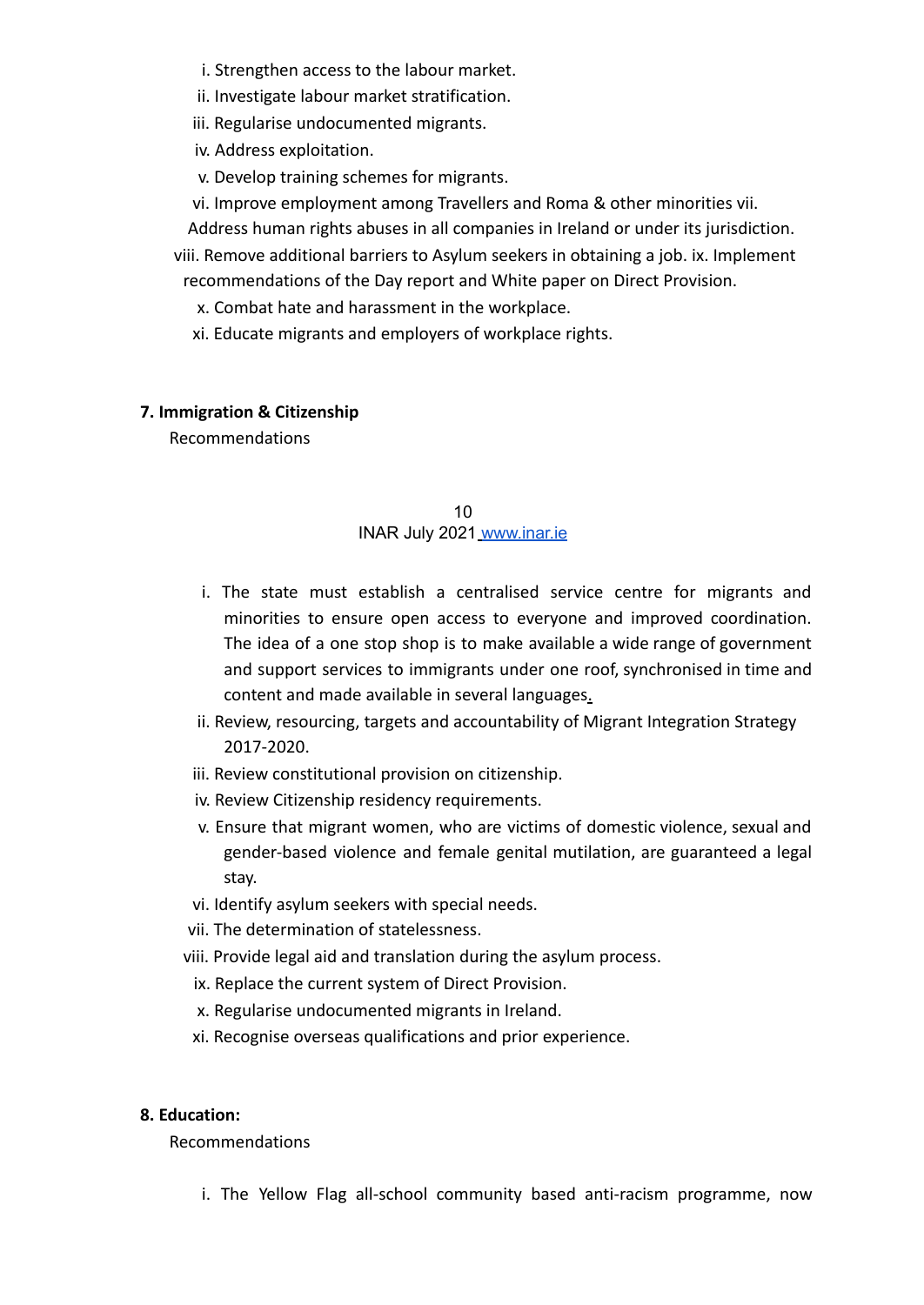- i. Strengthen access to the labour market.
- ii. Investigate labour market stratification.
- iii. Regularise undocumented migrants.
- iv. Address exploitation.
- v. Develop training schemes for migrants.
- vi. Improve employment among Travellers and Roma & other minorities vii.
- Address human rights abuses in all companies in Ireland or under its jurisdiction. viii. Remove additional barriers to Asylum seekers in obtaining a job. ix. Implement recommendations of the Day report and White paper on Direct Provision.
	- x. Combat hate and harassment in the workplace.
	- xi. Educate migrants and employers of workplace rights.

#### **7. Immigration & Citizenship**

Recommendations

#### 10 INAR July 2021 www.inar.ie

- i. The state must establish a centralised service centre for migrants and minorities to ensure open access to everyone and improved coordination. The idea of a one stop shop is to make available a wide range of government and support services to immigrants under one roof, synchronised in time and content and made available in several languages.
- ii. Review, resourcing, targets and accountability of Migrant Integration Strategy 2017-2020.
- iii. Review constitutional provision on citizenship.
- iv. Review Citizenship residency requirements.
- v. Ensure that migrant women, who are victims of domestic violence, sexual and gender-based violence and female genital mutilation, are guaranteed a legal stay.
- vi. Identify asylum seekers with special needs.
- vii. The determination of statelessness.
- viii. Provide legal aid and translation during the asylum process.
	- ix. Replace the current system of Direct Provision.
	- x. Regularise undocumented migrants in Ireland.
- xi. Recognise overseas qualifications and prior experience.

#### **8. Education:**

Recommendations

i. The Yellow Flag all-school community based anti-racism programme, now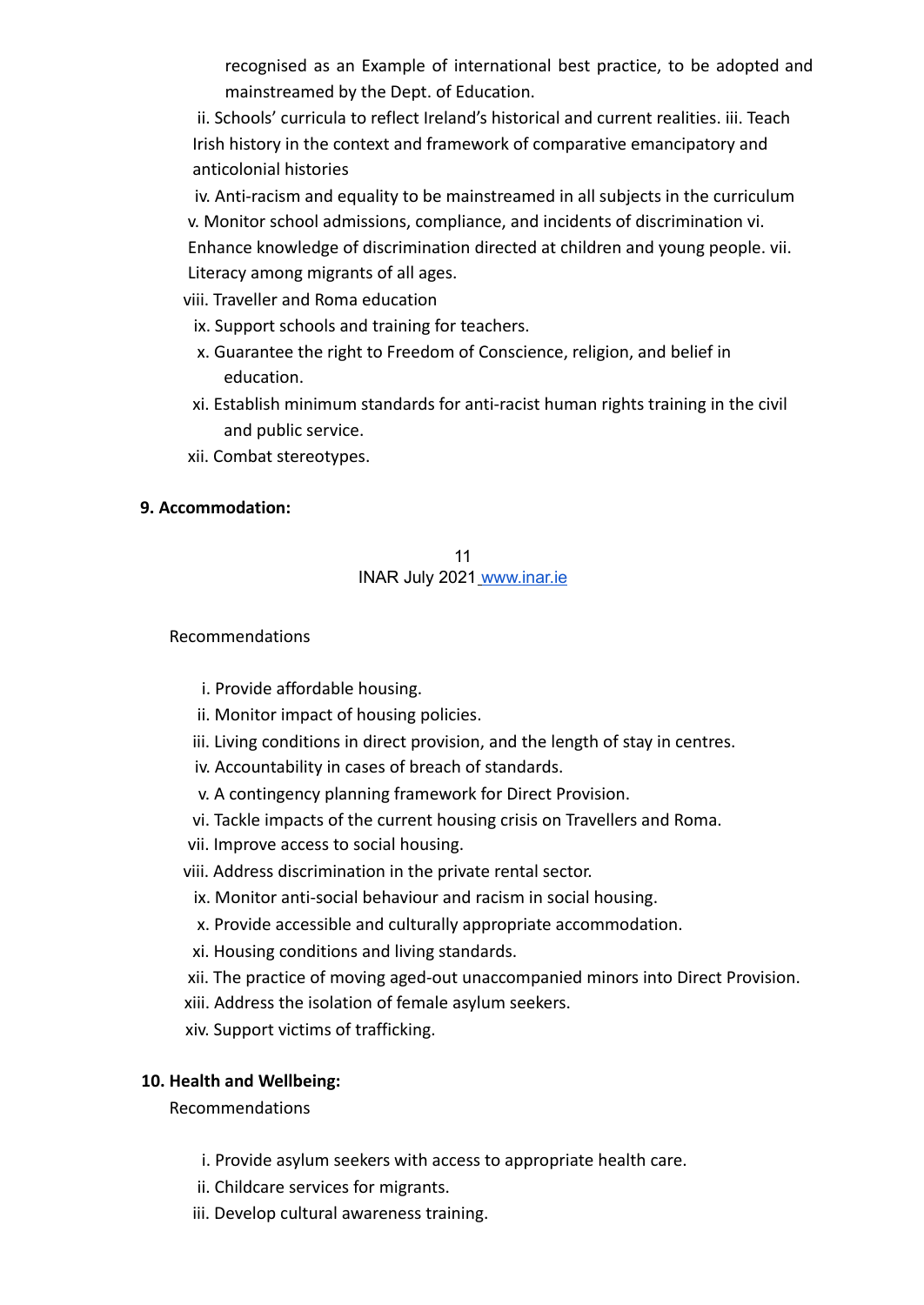recognised as an Example of international best practice, to be adopted and mainstreamed by the Dept. of Education.

ii. Schools' curricula to reflect Ireland's historical and current realities. iii. Teach Irish history in the context and framework of comparative emancipatory and anticolonial histories

iv. Anti-racism and equality to be mainstreamed in all subjects in the curriculum v. Monitor school admissions, compliance, and incidents of discrimination vi. Enhance knowledge of discrimination directed at children and young people. vii. Literacy among migrants of all ages.

- viii. Traveller and Roma education
	- ix. Support schools and training for teachers.
	- x. Guarantee the right to Freedom of Conscience, religion, and belief in education.
- xi. Establish minimum standards for anti-racist human rights training in the civil and public service.
- xii. Combat stereotypes.

# **9. Accommodation:**

#### 11 INAR July 2021 www.inar.ie

# Recommendations

- i. Provide affordable housing.
- ii. Monitor impact of housing policies.
- iii. Living conditions in direct provision, and the length of stay in centres.
- iv. Accountability in cases of breach of standards.
- v. A contingency planning framework for Direct Provision.
- vi. Tackle impacts of the current housing crisis on Travellers and Roma.
- vii. Improve access to social housing.
- viii. Address discrimination in the private rental sector.
	- ix. Monitor anti-social behaviour and racism in social housing.
	- x. Provide accessible and culturally appropriate accommodation.
- xi. Housing conditions and living standards.
- xii. The practice of moving aged-out unaccompanied minors into Direct Provision.
- xiii. Address the isolation of female asylum seekers.
- xiv. Support victims of trafficking.

# **10. Health and Wellbeing:**

- i. Provide asylum seekers with access to appropriate health care.
- ii. Childcare services for migrants.
- iii. Develop cultural awareness training.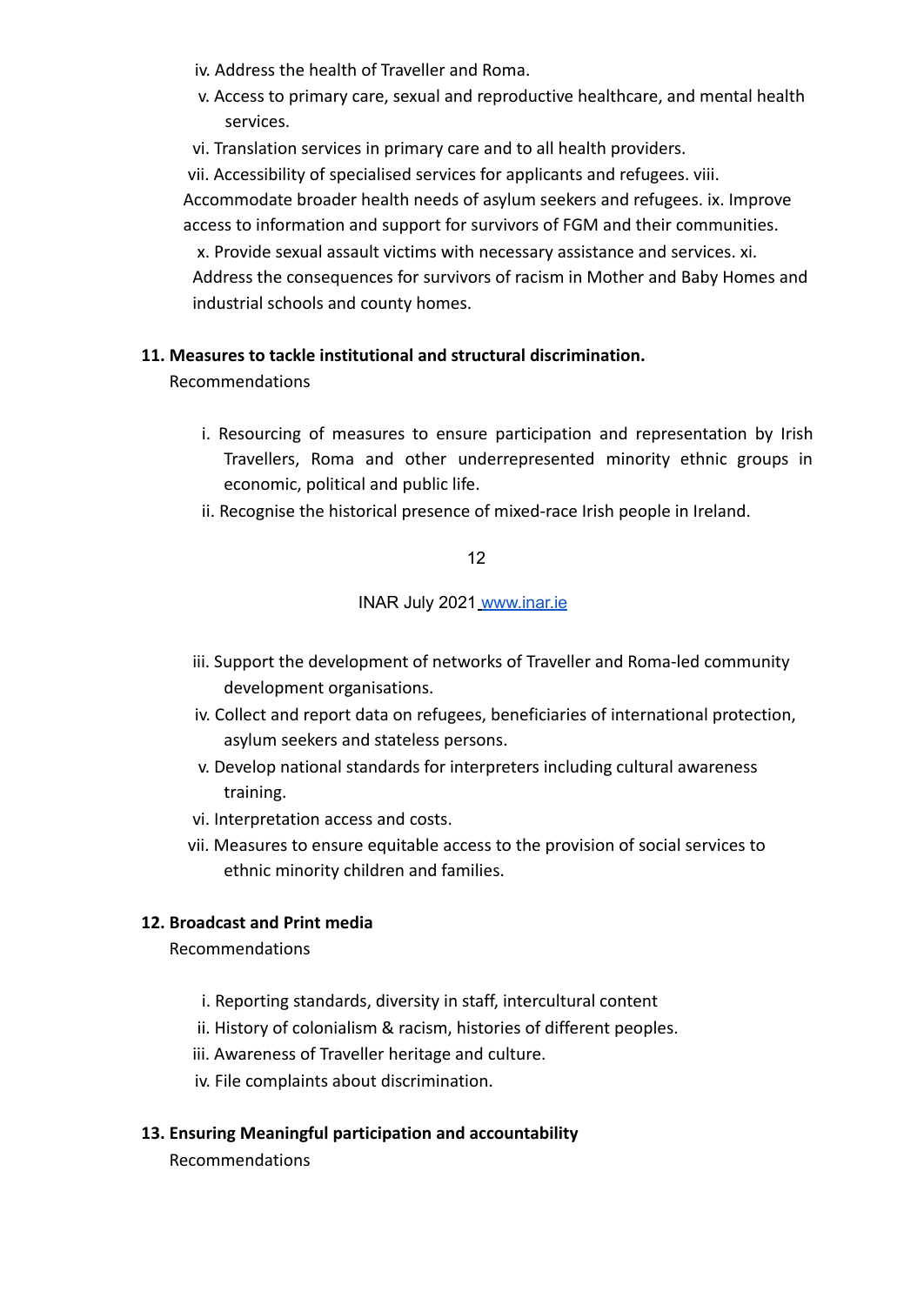- iv. Address the health of Traveller and Roma.
- v. Access to primary care, sexual and reproductive healthcare, and mental health services.
- vi. Translation services in primary care and to all health providers.

vii. Accessibility of specialised services for applicants and refugees. viii.

Accommodate broader health needs of asylum seekers and refugees. ix. Improve access to information and support for survivors of FGM and their communities.

x. Provide sexual assault victims with necessary assistance and services. xi. Address the consequences for survivors of racism in Mother and Baby Homes and industrial schools and county homes.

#### **11. Measures to tackle institutional and structural discrimination.**

Recommendations

- i. Resourcing of measures to ensure participation and representation by Irish Travellers, Roma and other underrepresented minority ethnic groups in economic, political and public life.
- ii. Recognise the historical presence of mixed-race Irish people in Ireland.

#### 12

#### INAR July 2021 www.inar.ie

- iii. Support the development of networks of Traveller and Roma-led community development organisations.
- iv. Collect and report data on refugees, beneficiaries of international protection, asylum seekers and stateless persons.
- v. Develop national standards for interpreters including cultural awareness training.
- vi. Interpretation access and costs.
- vii. Measures to ensure equitable access to the provision of social services to ethnic minority children and families.

# **12. Broadcast and Print media**

Recommendations

- i. Reporting standards, diversity in staff, intercultural content
- ii. History of colonialism & racism, histories of different peoples.
- iii. Awareness of Traveller heritage and culture.
- iv. File complaints about discrimination.

# **13. Ensuring Meaningful participation and accountability**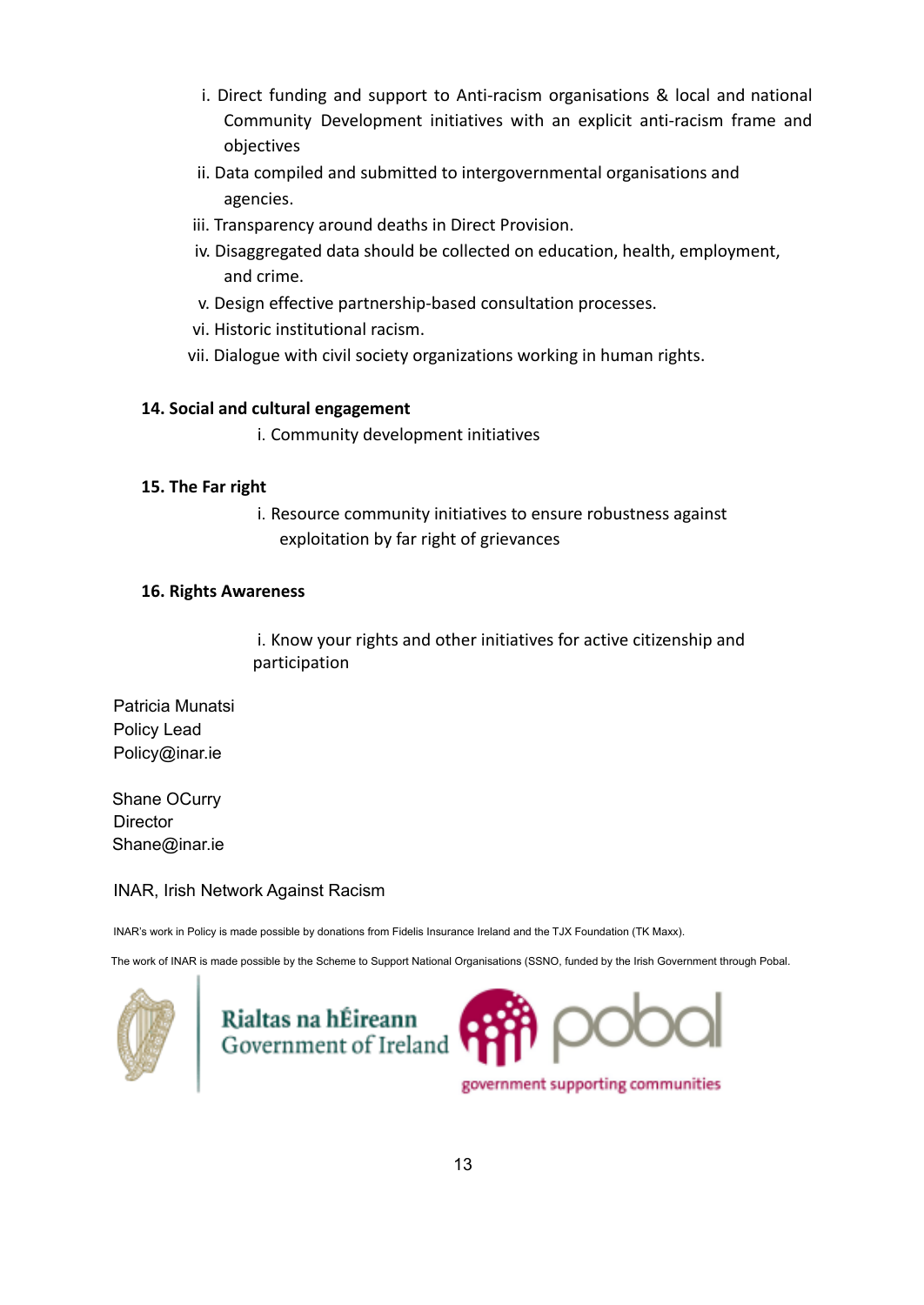- i. Direct funding and support to Anti-racism organisations & local and national Community Development initiatives with an explicit anti-racism frame and objectives
- ii. Data compiled and submitted to intergovernmental organisations and agencies.
- iii. Transparency around deaths in Direct Provision.
- iv. Disaggregated data should be collected on education, health, employment, and crime.
- v. Design effective partnership-based consultation processes.
- vi. Historic institutional racism.
- vii. Dialogue with civil society organizations working in human rights.

#### **14. Social and cultural engagement**

i. Community development initiatives

#### **15. The Far right**

i. Resource community initiatives to ensure robustness against exploitation by far right of grievances

#### **16. Rights Awareness**

i. Know your rights and other initiatives for active citizenship and participation

Patricia Munatsi Policy Lead Policy@inar.ie

Shane OCurry **Director** Shane@inar.ie

INAR, Irish Network Against Racism

INAR's work in Policy is made possible by donations from Fidelis Insurance Ireland and the TJX Foundation (TK Maxx).

The work of INAR is made possible by the Scheme to Support National Organisations (SSNO, funded by the Irish Government through Pobal.





government supporting communities